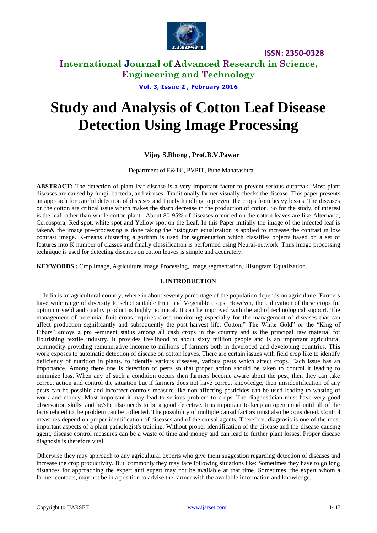

**ISSN: 2350-0328**

### **International Journal of Advanced Research in Science, Engineering and Technology**

**Vol. 3, Issue 2 , February 2016**

# **Study and Analysis of Cotton Leaf Disease Detection Using Image Processing**

#### **Vijay S.Bhong , Prof.B.V.Pawar**

Department of E&TC, PVPIT, Pune Maharashtra.

**ABSTRACT:** The detection of plant leaf disease is a very important factor to prevent serious outbreak. Most plant diseases are caused by fungi, bacteria, and viruses. Traditionally farmer visually checks the disease. This paper presents an approach for careful detection of diseases and timely handling to prevent the crops from heavy losses. The diseases on the cotton are critical issue which makes the sharp decrease in the production of cotton. So for the study, of interest is the leaf rather than whole cotton plant. About 80-95% of diseases occurred on the cotton leaves are like Alternaria, Cercospora, Red spot, white spot and Yellow spot on the Leaf. In this Paper initially the image of the infected leaf is taken& the image pre-processing is done taking the histogram equalization is applied to increase the contrast in low contrast image. K-means clustering algorithm is used for segmentation which classifies objects based on a set of features into K number of classes and finally classification is performed using Neural-network. Thus image processing technique is used for detecting diseases on cotton leaves is simple and accurately.

**KEYWORDS :** Crop Image, Agriculture image Processing, Image segmentation, Histogram Equalization.

#### **I. INTRODUCTION**

India is an agricultural country; where in about seventy percentage of the population depends on agriculture. Farmers have wide range of diversity to select suitable Fruit and Vegetable crops. However, the cultivation of these crops for optimum yield and quality product is highly technical. It can be improved with the aid of technological support. The management of perennial fruit crops requires close monitoring especially for the management of diseases that can affect production significantly and subsequently the post-harvest life. Cotton," The White Gold" or the "King of Fibers" enjoys a pre -eminent status among all cash crops in the country and is the principal raw material for flourishing textile industry. It provides livelihood to about sixty million people and is an important agricultural commodity providing remunerative income to millions of farmers both in developed and developing countries. This work exposes to automatic detection of disease on cotton leaves. There are certain issues with field crop like to identify deficiency of nutrition in plants, to identify various diseases, various pests which affect crops. Each issue has an importance. Among there one is detection of pests so that proper action should be taken to control it leading to minimize loss. When any of such a condition occurs then farmers become aware about the pest, then they can take correct action and control the situation but if farmers does not have correct knowledge, then misidentification of any pests can be possible and incorrect controls measure like non-affecting pesticides can be used leading to wasting of work and money. Most important it may lead to serious problem to crops. The diagnostician must have very good observation skills, and he/she also needs to be a good detective. It is important to keep an open mind until all of the facts related to the problem can be collected. The possibility of multiple causal factors must also be considered. Control measures depend on proper identification of diseases and of the causal agents. Therefore, diagnosis is one of the most important aspects of a plant pathologist's training. Without proper identification of the disease and the disease-causing agent, disease control measures can be a waste of time and money and can lead to further plant losses. Proper disease diagnosis is therefore vital.

Otherwise they may approach to any agricultural experts who give them suggestion regarding detection of diseases and increase the crop productivity. But, commonly they may face following situations like: Sometimes they have to go long distances for approaching the expert and expert may not be available at that time. Sometimes, the expert whom a farmer contacts, may not be in a position to advise the farmer with the available information and knowledge.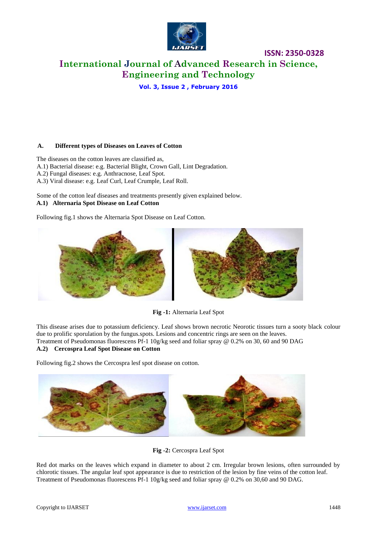

**Vol. 3, Issue 2 , February 2016**

#### **A. Different types of Diseases on Leaves of Cotton**

The diseases on the cotton leaves are classified as, A.1) Bacterial disease: e.g. Bacterial Blight, Crown Gall, Lint Degradation. A.2) Fungal diseases: e.g. Anthracnose, Leaf Spot. A.3) Viral disease: e.g. Leaf Curl, Leaf Crumple, Leaf Roll.

Some of the cotton leaf diseases and treatments presently given explained below. **A.1) Alternaria Spot Disease on Leaf Cotton**

Following fig.1 shows the Alternaria Spot Disease on Leaf Cotton.



**Fig -1:** Alternaria Leaf Spot

This disease arises due to potassium deficiency. Leaf shows brown necrotic Neorotic tissues turn a sooty black colour due to prolific sporulation by the fungus.spots. Lesions and concentric rings are seen on the leaves. Treatment of Pseudomonas fluorescens Pf-1 10g/kg seed and foliar spray @ 0.2% on 30, 60 and 90 DAG **A.2) Cercospra Leaf Spot Disease on Cotton**

Following fig.2 shows the Cercospra lesf spot disease on cotton.



**Fig -2:** Cercospra Leaf Spot

Red dot marks on the leaves which expand in diameter to about 2 cm. Irregular brown lesions, often surrounded by chlorotic tissues. The angular leaf spot appearance is due to restriction of the lesion by fine veins of the cotton leaf. Treatment of Pseudomonas fluorescens Pf-1 10g/kg seed and foliar spray @ 0.2% on 30,60 and 90 DAG.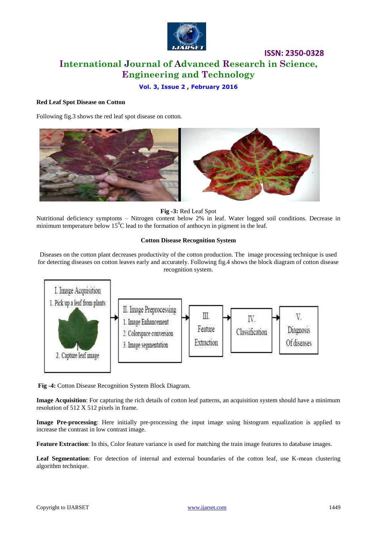

#### **Vol. 3, Issue 2 , February 2016**

#### **Red Leaf Spot Disease on Cotton**

Following fig.3 shows the red leaf spot disease on cotton.



**Fig -3:** Red Leaf Spot

Nutritional deficiency symptoms – Nitrogen content below 2% in leaf. Water logged soil conditions. Decrease in minimum temperature below  $15^{\circ}$ C lead to the formation of anthocyn in pigment in the leaf.

#### **Cotton Disease Recognition System**

Diseases on the cotton plant decreases productivity of the cotton production. The image processing technique is used for detecting diseases on cotton leaves early and accurately. Following fig.4 shows the block diagram of cotton disease recognition system.



**Fig -4:** Cotton Disease Recognition System Block Diagram.

**Image Acquisition**: For capturing the rich details of cotton leaf patterns, an acquisition system should have a minimum resolution of 512 X 512 pixels in frame.

**Image Pre-processing**: Here initially pre-processing the input image using histogram equalization is applied to increase the contrast in low contrast image.

**Feature Extraction**: In this, Color feature variance is used for matching the train image features to database images.

**Leaf Segmentation**: For detection of internal and external boundaries of the cotton leaf, use K-mean clustering algorithm technique.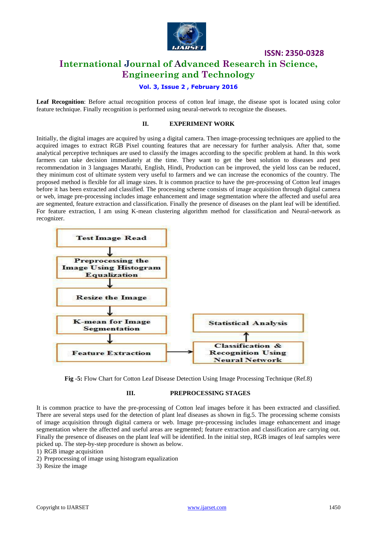

**ISSN: 2350-0328**

### **International Journal of Advanced Research in Science, Engineering and Technology**

#### **Vol. 3, Issue 2 , February 2016**

**Leaf Recognition**: Before actual recognition process of cotton leaf image, the disease spot is located using color feature technique. Finally recognition is performed using neural-network to recognize the diseases.

#### **II. EXPERIMENT WORK**

Initially, the digital images are acquired by using a digital camera. Then image-processing techniques are applied to the acquired images to extract RGB Pixel counting features that are necessary for further analysis. After that, some analytical perceptive techniques are used to classify the images according to the specific problem at hand. In this work farmers can take decision immediately at the time. They want to get the best solution to diseases and pest recommendation in 3 languages Marathi, English, Hindi, Production can be improved, the yield loss can be reduced, they minimum cost of ultimate system very useful to farmers and we can increase the economics of the country. The proposed method is flexible for all image sizes. It is common practice to have the pre-processing of Cotton leaf images before it has been extracted and classified. The processing scheme consists of image acquisition through digital camera or web, image pre-processing includes image enhancement and image segmentation where the affected and useful area are segmented, feature extraction and classification. Finally the presence of diseases on the plant leaf will be identified. For feature extraction, I am using K-mean clustering algorithm method for classification and Neural-network as recognizer.



**Fig -5:** Flow Chart for Cotton Leaf Disease Detection Using Image Processing Technique (Ref.8)

#### **III. PREPROCESSING STAGES**

It is common practice to have the pre-processing of Cotton leaf images before it has been extracted and classified. There are several steps used for the detection of plant leaf diseases as shown in fig.5. The processing scheme consists of image acquisition through digital camera or web. Image pre-processing includes image enhancement and image segmentation where the affected and useful areas are segmented; feature extraction and classification are carrying out. Finally the presence of diseases on the plant leaf will be identified. In the initial step, RGB images of leaf samples were picked up. The step-by-step procedure is shown as below.

1) RGB image acquisition

2) Preprocessing of image using histogram equalization

3) Resize the image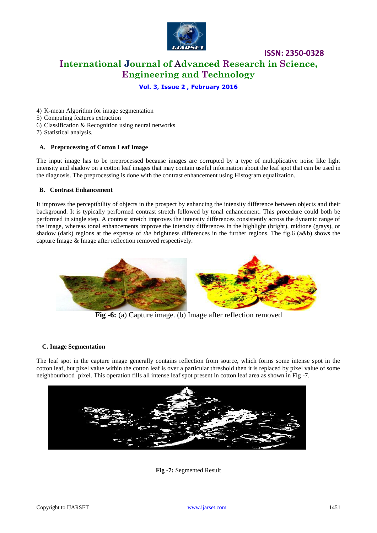

**ISSN: 2350-0328**

#### **Vol. 3, Issue 2 , February 2016**

4) K-mean Algorithm for image segmentation

- 5) Computing features extraction
- 6) Classification & Recognition using neural networks
- 7) Statistical analysis.

#### **A. Preprocessing of Cotton Leaf Image**

The input image has to be preprocessed because images are corrupted by a type of multiplicative noise like light intensity and shadow on a cotton leaf images that may contain useful information about the leaf spot that can be used in the diagnosis. The preprocessing is done with the contrast enhancement using Histogram equalization.

#### **B. Contrast Enhancement**

It improves the perceptibility of objects in the prospect by enhancing the intensity difference between objects and their background. It is typically performed contrast stretch followed by tonal enhancement. This procedure could both be performed in single step. A contrast stretch improves the intensity differences consistently across the dynamic range of the image, whereas tonal enhancements improve the intensity differences in the highlight (bright), midtone (grays), or shadow (dark) regions at the expense of *the* brightness differences in the further regions. The fig.6 (a&b) shows the capture Image & Image after reflection removed respectively.



**Fig -6:** (a) Capture image. (b) Image after reflection removed

#### **C. Image Segmentation**

The leaf spot in the capture image generally contains reflection from source, which forms some intense spot in the cotton leaf, but pixel value within the cotton leaf is over a particular threshold then it is replaced by pixel value of some neighbourhood pixel. This operation fills all intense leaf spot present in cotton leaf area as shown in Fig -7.



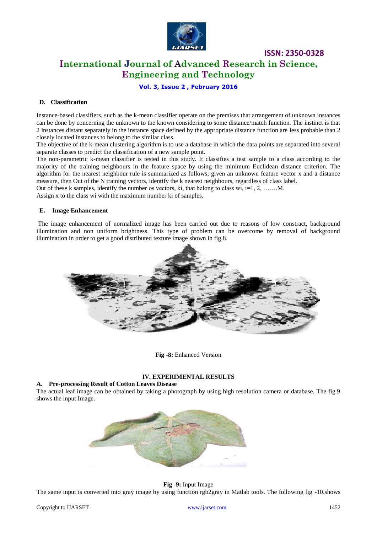

**ISSN: 2350-0328**

### **International Journal of Advanced Research in Science, Engineering and Technology**

**Vol. 3, Issue 2 , February 2016**

#### **D. Classification**

Instance-based classifiers, such as the k-mean classifier operate on the premises that arrangement of unknown instances can be done by concerning the unknown to the known considering to some distance/match function. The instinct is that 2 instances distant separately in the instance space defined by the appropriate distance function are less probable than 2 closely located instances to belong to the similar class.

The objective of the k-mean clustering algorithm is to use a database in which the data points are separated into several separate classes to predict the classification of a new sample point.

The non-parametric k-mean classifier is tested in this study. It classifies a test sample to a class according to the majority of the training neighbours in the feature space by using the minimum Euclidean distance criterion. The algorithm for the nearest neighbour rule is summarized as follows; given an unknown feature vector x and a distance measure, then Out of the N training vectors, identify the k nearest neighbours, regardless of class label.

Out of these k samples, identify the number os vectors, ki, that belong to class wi,  $i=1, 2, \ldots, M$ .

Assign x to the class wi with the maximum number ki of samples.

#### **E. Image Enhancement**

The image enhancement of normalized image has been carried out due to reasons of low constract, background illumination and non uniform brightness. This type of problem can be overcome by removal of background illumination in order to get a good distributed texture image shown in fig.8.



**Fig -8:** Enhanced Version

#### **IV. EXPERIMENTAL RESULTS**

#### **A. Pre-processing Result of Cotton Leaves Disease**

The actual leaf image can be obtained by taking a photograph by using high resolution camera or database. The fig.9 shows the input Image.



#### **Fig -9:** Input Image

The same input is converted into gray image by using function rgb2gray in Matlab tools. The following fig -10.shows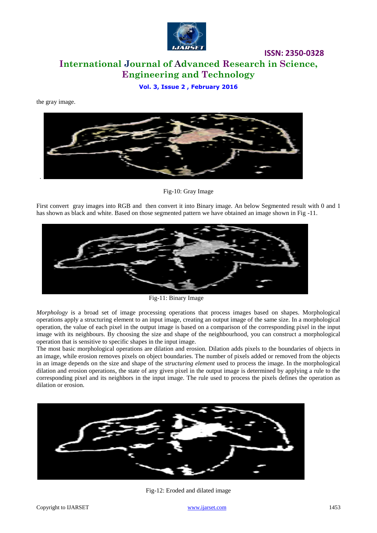

**Vol. 3, Issue 2 , February 2016**

the gray image.



Fig-10: Gray Image

First convert gray images into RGB and then convert it into Binary image. An below Segmented result with 0 and 1 has shown as black and white. Based on those segmented pattern we have obtained an image shown in Fig -11.



Fig-11: Binary Image

*Morphology* is a broad set of image processing operations that process images based on shapes. Morphological operations apply a structuring element to an input image, creating an output image of the same size. In a morphological operation, the value of each pixel in the output image is based on a comparison of the corresponding pixel in the input image with its neighbours. By choosing the size and shape of the neighbourhood, you can construct a morphological operation that is sensitive to specific shapes in the input image.

The most basic morphological operations are dilation and erosion. Dilation adds pixels to the boundaries of objects in an image, while erosion removes pixels on object boundaries. The number of pixels added or removed from the objects in an image depends on the size and shape of the *structuring element* used to process the image. In the morphological dilation and erosion operations, the state of any given pixel in the output image is determined by applying a rule to the corresponding pixel and its neighbors in the input image. The rule used to process the pixels defines the operation as dilation or erosion.



Fig-12: Eroded and dilated image